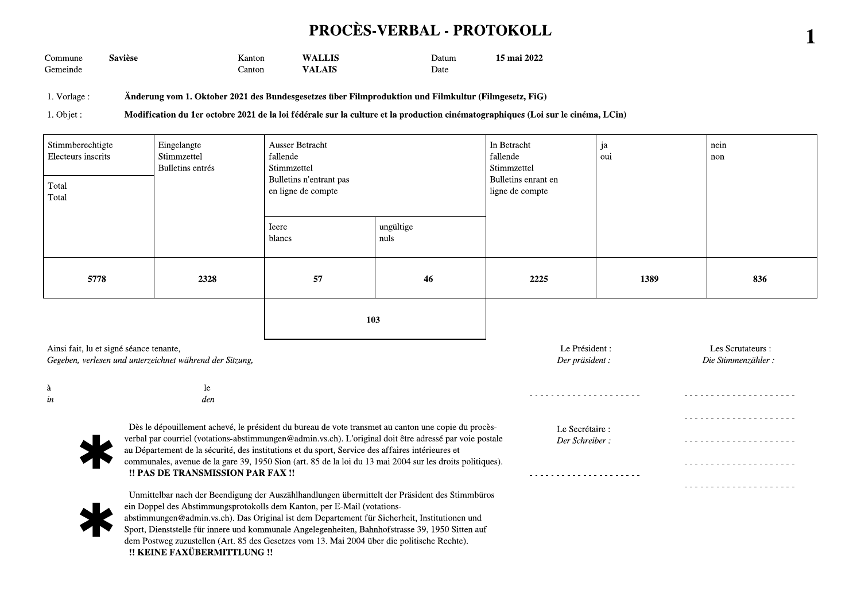## PROCÈS-VERBAL - PROTOKOLL

1

Commune **Savièse** Kanton **WALLIS** Datum 15 mai 2022 Gemeinde **VALAIS** Date Canton

1. Vorlage: Änderung vom 1. Oktober 2021 des Bundesgesetzes über Filmproduktion und Filmkultur (Filmgesetz, FiG)

1. Objet : Modification du 1er octobre 2021 de la loi fédérale sur la culture et la production cinématographiques (Loi sur le cinéma, LCin)

| Stimmberechtigte<br>Electeurs inscrits<br>Total<br>Total                                                                                                                                                                                                                                                                                                                       | Eingelangte<br>Stimmzettel<br>Bulletins entrés | Ausser Betracht<br>fallende<br>Stimmzettel<br>Bulletins n'entrant pas<br>en ligne de compte |                   | In Betracht<br>fallende<br>Stimmzettel<br>Bulletins enrant en<br>ligne de compte | ja<br>oui | nein<br>non                             |  |
|--------------------------------------------------------------------------------------------------------------------------------------------------------------------------------------------------------------------------------------------------------------------------------------------------------------------------------------------------------------------------------|------------------------------------------------|---------------------------------------------------------------------------------------------|-------------------|----------------------------------------------------------------------------------|-----------|-----------------------------------------|--|
|                                                                                                                                                                                                                                                                                                                                                                                |                                                | <b>I</b> eere<br>blancs                                                                     | ungültige<br>nuls |                                                                                  |           |                                         |  |
| 5778                                                                                                                                                                                                                                                                                                                                                                           | 2328                                           | 57                                                                                          | 46                | 2225                                                                             | 1389      | 836                                     |  |
|                                                                                                                                                                                                                                                                                                                                                                                |                                                | 103                                                                                         |                   |                                                                                  |           |                                         |  |
| Ainsi fait, lu et signé séance tenante,<br>Gegeben, verlesen und unterzeichnet während der Sitzung,                                                                                                                                                                                                                                                                            |                                                |                                                                                             |                   | Le Président :<br>Der präsident :                                                |           | Les Scrutateurs :<br>Die Stimmenzähler: |  |
| à<br>in                                                                                                                                                                                                                                                                                                                                                                        | le<br>den                                      |                                                                                             |                   |                                                                                  |           |                                         |  |
| Dès le dépouillement achevé, le président du bureau de vote transmet au canton une copie du procès-<br>verbal par courriel (votations-abstimmungen@admin.vs.ch). L'original doit être adressé par voie postale<br>au Département de la sécurité, des institutions et du sport, Service des affaires intérieures et                                                             | Le Secrétaire :<br>Der Schreiber:              |                                                                                             |                   |                                                                                  |           |                                         |  |
| communales, avenue de la gare 39, 1950 Sion (art. 85 de la loi du 13 mai 2004 sur les droits politiques).<br>!! PAS DE TRANSMISSION PAR FAX !!                                                                                                                                                                                                                                 |                                                |                                                                                             |                   |                                                                                  |           | <u>.</u><br>.                           |  |
| Unmittelbar nach der Beendigung der Auszählhandlungen übermittelt der Präsident des Stimmbüros<br>ein Doppel des Abstimmungsprotokolls dem Kanton, per E-Mail (votations-<br>abstimmungen@admin.vs.ch). Das Original ist dem Departement für Sicherheit, Institutionen und<br>Sport, Dienststelle für innere und kommunale Angelegenheiten, Bahnhofstrasse 39, 1950 Sitten auf |                                                |                                                                                             |                   |                                                                                  |           |                                         |  |

Sport, Dienststelle für innere und kommunale Angelegenheiten, Bahnhofstrasse 39, 1950 Sitten auf dem Postweg zuzustellen (Art. 85 des Gesetzes vom 13. Mai 2004 über die politische Rechte). !! KEINE FAXÜBERMITTLUNG !!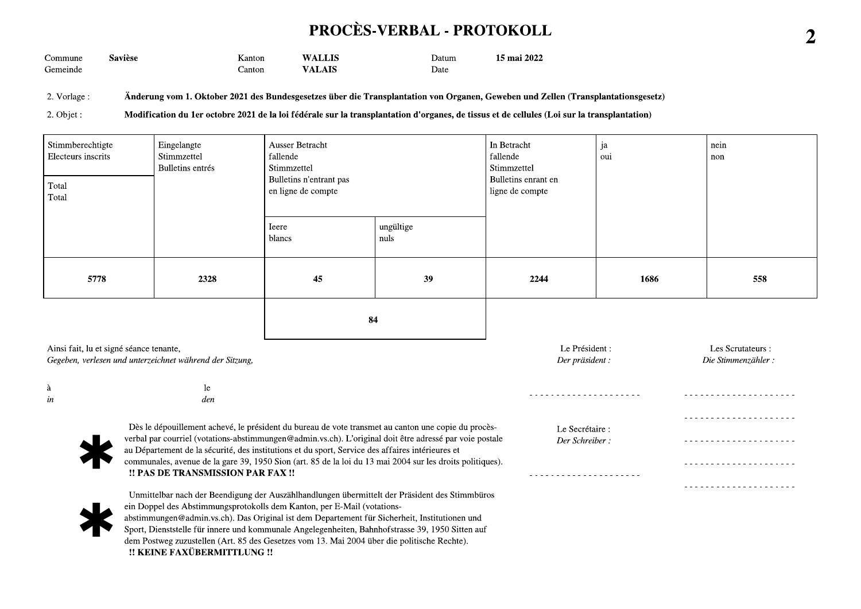## PROCÈS-VERBAL - PROTOKOLL

| ∽<br>Commune | . .<br>saviese | anton | T I IS<br><b>XXZ A</b> | 'Jatum | 2022<br>$\overline{\phantom{0}}$<br>15 mai |
|--------------|----------------|-------|------------------------|--------|--------------------------------------------|
| Gemeinde     |                | antor | .                      | Date   |                                            |

2. Vorlage: Änderung vom 1. Oktober 2021 des Bundesgesetzes über die Transplantation von Organen, Geweben und Zellen (Transplantationsgesetz)

2. Objet : Modification du 1er octobre 2021 de la loi fédérale sur la transplantation d'organes, de tissus et de cellules (Loi sur la transplantation)

| Stimmberechtigte<br>Electeurs inscrits<br>Total<br>Total                                                                                                                                                                                                                                                           | Eingelangte<br>Stimmzettel<br>Bulletins entrés                                                                                                                                                                                                                                                                                                                                 | Ausser Betracht<br>fallende<br>Stimmzettel<br>Bulletins n'entrant pas<br>en ligne de compte |                   | In Betracht<br>fallende<br>Stimmzettel<br>Bulletins enrant en<br>ligne de compte | ja<br>oui | nein<br>non                             |  |
|--------------------------------------------------------------------------------------------------------------------------------------------------------------------------------------------------------------------------------------------------------------------------------------------------------------------|--------------------------------------------------------------------------------------------------------------------------------------------------------------------------------------------------------------------------------------------------------------------------------------------------------------------------------------------------------------------------------|---------------------------------------------------------------------------------------------|-------------------|----------------------------------------------------------------------------------|-----------|-----------------------------------------|--|
|                                                                                                                                                                                                                                                                                                                    |                                                                                                                                                                                                                                                                                                                                                                                | <b>I</b> eere<br>blancs                                                                     | ungültige<br>nuls |                                                                                  |           |                                         |  |
| 5778                                                                                                                                                                                                                                                                                                               | 2328                                                                                                                                                                                                                                                                                                                                                                           | 45                                                                                          | 39                | 2244                                                                             | 1686      | 558                                     |  |
|                                                                                                                                                                                                                                                                                                                    |                                                                                                                                                                                                                                                                                                                                                                                | 84                                                                                          |                   |                                                                                  |           |                                         |  |
| Ainsi fait, lu et signé séance tenante,<br>Gegeben, verlesen und unterzeichnet während der Sitzung,                                                                                                                                                                                                                |                                                                                                                                                                                                                                                                                                                                                                                |                                                                                             |                   | Le Président :<br>Der präsident :                                                |           | Les Scrutateurs :<br>Die Stimmenzähler: |  |
| à<br>in                                                                                                                                                                                                                                                                                                            | le.<br>den                                                                                                                                                                                                                                                                                                                                                                     |                                                                                             |                   |                                                                                  |           |                                         |  |
| Dès le dépouillement achevé, le président du bureau de vote transmet au canton une copie du procès-<br>verbal par courriel (votations-abstimmungen@admin.vs.ch). L'original doit être adressé par voie postale<br>au Département de la sécurité, des institutions et du sport, Service des affaires intérieures et | Le Secrétaire :<br>Der Schreiber:                                                                                                                                                                                                                                                                                                                                              |                                                                                             |                   |                                                                                  |           |                                         |  |
| communales, avenue de la gare 39, 1950 Sion (art. 85 de la loi du 13 mai 2004 sur les droits politiques).<br>!! PAS DE TRANSMISSION PAR FAX !!                                                                                                                                                                     |                                                                                                                                                                                                                                                                                                                                                                                |                                                                                             |                   |                                                                                  |           |                                         |  |
|                                                                                                                                                                                                                                                                                                                    | Unmittelbar nach der Beendigung der Auszählhandlungen übermittelt der Präsident des Stimmbüros<br>ein Doppel des Abstimmungsprotokolls dem Kanton, per E-Mail (votations-<br>abstimmungen@admin.vs.ch). Das Original ist dem Departement für Sicherheit, Institutionen und<br>Sport, Dienststelle für innere und kommunale Angelegenheiten, Bahnhofstrasse 39, 1950 Sitten auf |                                                                                             |                   |                                                                                  |           |                                         |  |

Sport, Dienststelle für innere und kommunale Angelegenheiten, Bahnhofstrasse 39, 1950 Sitten auf dem Postweg zuzustellen (Art. 85 des Gesetzes vom 13. Mai 2004 über die politische Rechte). !! KEINE FAXÜBERMITTLUNG !!